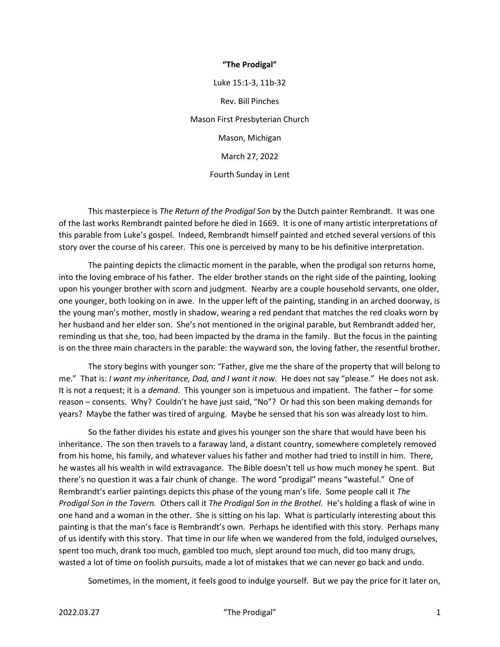## "The Prodigal"

Luke 15:1-3, 11b-32 Rev. Bill Pinches Mason First Presbyterian Church Mason, Michigan March 27, 2022 Fourth Sunday in Lent

This masterpiece is The Return of the Prodigal Son by the Dutch painter Rembrandt. It was one of the last works Rembrandt painted before he died in 1669. It is one of many artistic interpretations of this parable from Luke's gospel. Indeed, Rembrandt himself painted and etched several versions of this story over the course of his career. This one is perceived by many to be his definitive interpretation.

The painting depicts the climactic moment in the parable, when the prodigal son returns home, into the loving embrace of his father. The elder brother stands on the right side of the painting, looking upon his younger brother with scorn and judgment. Nearby are a couple household servants, one older, one younger, both looking on in awe. In the upper left of the painting, standing in an arched doorway, is the young man's mother, mostly in shadow, wearing a red pendant that matches the red cloaks worn by her husband and her elder son. She's not mentioned in the original parable, but Rembrandt added her, reminding us that she, too, had been impacted by the drama in the family. But the focus in the painting is on the three main characters in the parable: the wayward son, the loving father, the resentful brother.

The story begins with younger son: "Father, give me the share of the property that will belong to me." That is: I want my inheritance, Dad, and I want it now. He does not say "please." He does not ask. It is not a request; it is a *demand*. This younger son is impetuous and impatient. The father – for some reason – consents. Why? Couldn't he have just said, "No"? Or had this son been making demands for years? Maybe the father was tired of arguing. Maybe he sensed that his son was already lost to him.

So the father divides his estate and gives his younger son the share that would have been his inheritance. The son then travels to a faraway land, a distant country, somewhere completely removed from his home, his family, and whatever values his father and mother had tried to instill in him. There, he wastes all his wealth in wild extravagance. The Bible doesn't tell us how much money he spent. But there's no question it was a fair chunk of change. The word "prodigal" means "wasteful." One of Rembrandt's earlier paintings depicts this phase of the young man's life. Some people call it The Prodigal Son in the Tavern. Others call it The Prodigal Son in the Brothel. He's holding a flask of wine in one hand and a woman in the other. She is sitting on his lap. What is particularly interesting about this painting is that the man's face is Rembrandt's own. Perhaps he identified with this story. Perhaps many of us identify with this story. That time in our life when we wandered from the fold, indulged ourselves, spent too much, drank too much, gambled too much, slept around too much, did too many drugs, wasted a lot of time on foolish pursuits, made a lot of mistakes that we can never go back and undo.

Sometimes, in the moment, it feels good to indulge yourself. But we pay the price for it later on,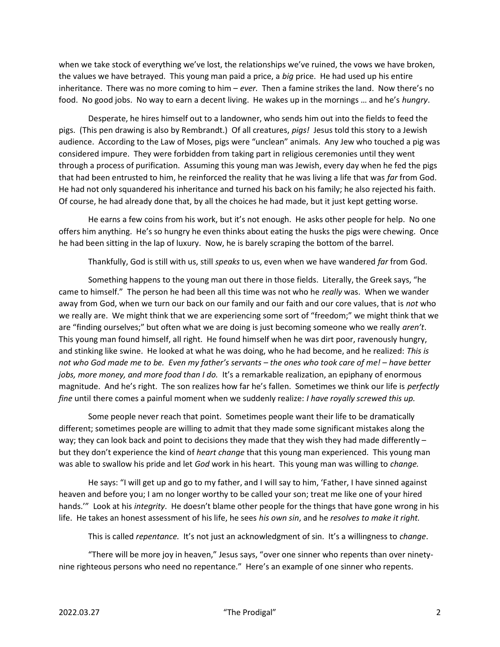when we take stock of everything we've lost, the relationships we've ruined, the vows we have broken, the values we have betrayed. This young man paid a price, a big price. He had used up his entire inheritance. There was no more coming to him – ever. Then a famine strikes the land. Now there's no food. No good jobs. No way to earn a decent living. He wakes up in the mornings … and he's hungry.

Desperate, he hires himself out to a landowner, who sends him out into the fields to feed the pigs. (This pen drawing is also by Rembrandt.) Of all creatures, pigs! Jesus told this story to a Jewish audience. According to the Law of Moses, pigs were "unclean" animals. Any Jew who touched a pig was considered impure. They were forbidden from taking part in religious ceremonies until they went through a process of purification. Assuming this young man was Jewish, every day when he fed the pigs that had been entrusted to him, he reinforced the reality that he was living a life that was far from God. He had not only squandered his inheritance and turned his back on his family; he also rejected his faith. Of course, he had already done that, by all the choices he had made, but it just kept getting worse.

He earns a few coins from his work, but it's not enough. He asks other people for help. No one offers him anything. He's so hungry he even thinks about eating the husks the pigs were chewing. Once he had been sitting in the lap of luxury. Now, he is barely scraping the bottom of the barrel.

Thankfully, God is still with us, still speaks to us, even when we have wandered far from God.

Something happens to the young man out there in those fields. Literally, the Greek says, "he came to himself." The person he had been all this time was not who he really was. When we wander away from God, when we turn our back on our family and our faith and our core values, that is not who we really are. We might think that we are experiencing some sort of "freedom;" we might think that we are "finding ourselves;" but often what we are doing is just becoming someone who we really aren't. This young man found himself, all right. He found himself when he was dirt poor, ravenously hungry, and stinking like swine. He looked at what he was doing, who he had become, and he realized: This is not who God made me to be. Even my father's servants – the ones who took care of me! – have better jobs, more money, and more food than I do. It's a remarkable realization, an epiphany of enormous magnitude. And he's right. The son realizes how far he's fallen. Sometimes we think our life is perfectly fine until there comes a painful moment when we suddenly realize: I have royally screwed this up.

Some people never reach that point. Sometimes people want their life to be dramatically different; sometimes people are willing to admit that they made some significant mistakes along the way; they can look back and point to decisions they made that they wish they had made differently but they don't experience the kind of heart change that this young man experienced. This young man was able to swallow his pride and let God work in his heart. This young man was willing to change.

He says: "I will get up and go to my father, and I will say to him, 'Father, I have sinned against heaven and before you; I am no longer worthy to be called your son; treat me like one of your hired hands.'" Look at his *integrity*. He doesn't blame other people for the things that have gone wrong in his life. He takes an honest assessment of his life, he sees his own sin, and he resolves to make it right.

This is called *repentance*. It's not just an acknowledgment of sin. It's a willingness to *change*.

"There will be more joy in heaven," Jesus says, "over one sinner who repents than over ninetynine righteous persons who need no repentance." Here's an example of one sinner who repents.